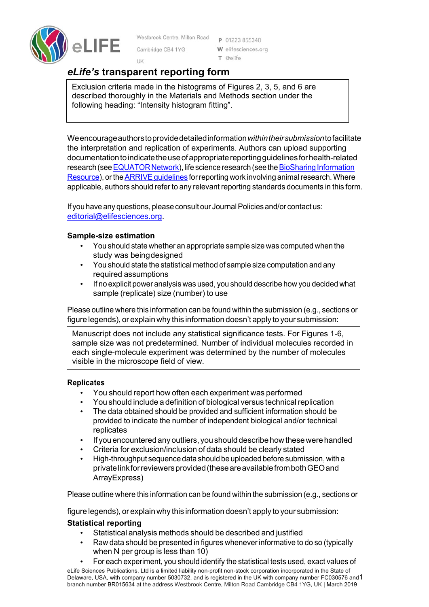

Westbrook Centre, Milton Road

Cambridge CR4 1YG

P 01223 855340 W elifesciences.org T @elife

# *eLife's* **transparent reporting form**

UK

Exclusion criteria made in the histograms of Figures 2, 3, 5, and 6 are described thoroughly in the Materials and Methods section under the following heading: "Intensity histogram fitting".

Weencourageauthorstoprovidedetailedinformation*withintheirsubmission*tofacilitate the interpretation and replication of experiments. Authors can upload supporting documentationtoindicatetheuseofappropriatereportingguidelinesforhealth-related research (see EQUATOR Network), life science research (see the BioSharing Information Resource), or the **ARRIVE** guidelines for reporting work involving animal research. Where applicable, authors should refer to any relevant reporting standards documents in this form.

If you have any questions, please consult our Journal Policies and/or contact us: editorial@elifesciences.org.

## **Sample-size estimation**

- You should state whether an appropriate sample size was computed when the study was beingdesigned
- You should state the statistical method of sample size computation and any required assumptions
- If no explicit power analysis was used, you should describe how you decided what sample (replicate) size (number) to use

Please outline where this information can be found within the submission (e.g., sections or figure legends), or explain why this information doesn't apply to your submission:

Manuscript does not include any statistical significance tests. For Figures 1-6, sample size was not predetermined. Number of individual molecules recorded in each single-molecule experiment was determined by the number of molecules visible in the microscope field of view.

### **Replicates**

- You should report how often each experiment was performed
- You should include a definition of biological versus technical replication
- The data obtained should be provided and sufficient information should be provided to indicate the number of independent biological and/or technical replicates
- If you encountered any outliers, you should describe how these were handled
- Criteria for exclusion/inclusion of data should be clearly stated
- High-throughput sequence data should be uploaded before submission, with a privatelinkforreviewersprovided(theseareavailablefrombothGEOand ArrayExpress)

Please outline where this information can be found within the submission (e.g., sections or

figure legends), or explain why this information doesn't apply to your submission:

# **Statistical reporting**

- Statistical analysis methods should be described and justified
- Raw data should be presented in figures whenever informative to do so (typically when N per group is less than 10)
- For each experiment, you should identify the statistical tests used, exact values of

eLife Sciences Publications, Ltd is a limited liability non-profit non-stock corporation incorporated in the State of Delaware, USA, with company number 5030732, and is registered in the UK with company number FC030576 and1 branch number BR015634 at the address Westbrook Centre, Milton Road Cambridge CB4 1YG, UK | March 2019